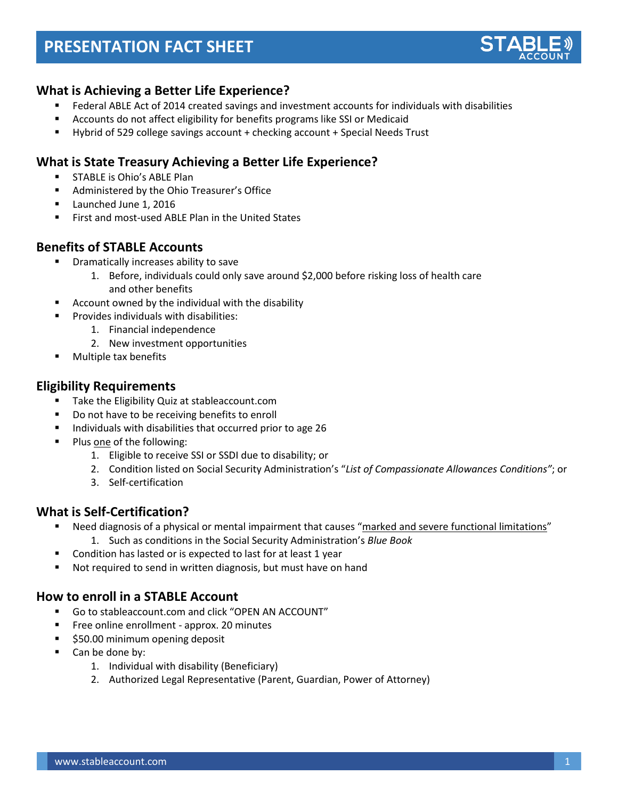

## **What is Achieving a Better Life Experience?**

- Federal ABLE Act of 2014 created savings and investment accounts for individuals with disabilities
- Accounts do not affect eligibility for benefits programs like SSI or Medicaid
- Hybrid of 529 college savings account + checking account + Special Needs Trust

## **What is State Treasury Achieving a Better Life Experience?**

- **STABLE is Ohio's ABLE Plan**
- **Administered by the Ohio Treasurer's Office**
- Launched June 1, 2016
- First and most-used ABLE Plan in the United States

### **Benefits of STABLE Accounts**

- **•** Dramatically increases ability to save
	- 1. Before, individuals could only save around \$2,000 before risking loss of health care and other benefits
- Account owned by the individual with the disability
- Provides individuals with disabilities:
	- 1. Financial independence
		- 2. New investment opportunities
- **Multiple tax benefits**

### **Eligibility Requirements**

- **Take the Eligibility Quiz at stableaccount.com**
- Do not have to be receiving benefits to enroll
- Individuals with disabilities that occurred prior to age 26
- Plus one of the following:
	- 1. Eligible to receive SSI or SSDI due to disability; or
	- 2. Condition listed on Social Security Administration's "*List of Compassionate Allowances Conditions"*; or
	- 3. Self-certification

## **What is Self-Certification?**

- " Need diagnosis of a physical or mental impairment that causes "marked and severe functional limitations"
	- 1. Such as conditions in the Social Security Administration's *Blue Book*
- Condition has lasted or is expected to last for at least 1 year
- Not required to send in written diagnosis, but must have on hand

### **How to enroll in a STABLE Account**

- Go to stableaccount.com and click "OPEN AN ACCOUNT"
- **FILM** Free online enrollment approx. 20 minutes
- \$50.00 minimum opening deposit
- Can be done by:
	- 1. Individual with disability (Beneficiary)
	- 2. Authorized Legal Representative (Parent, Guardian, Power of Attorney)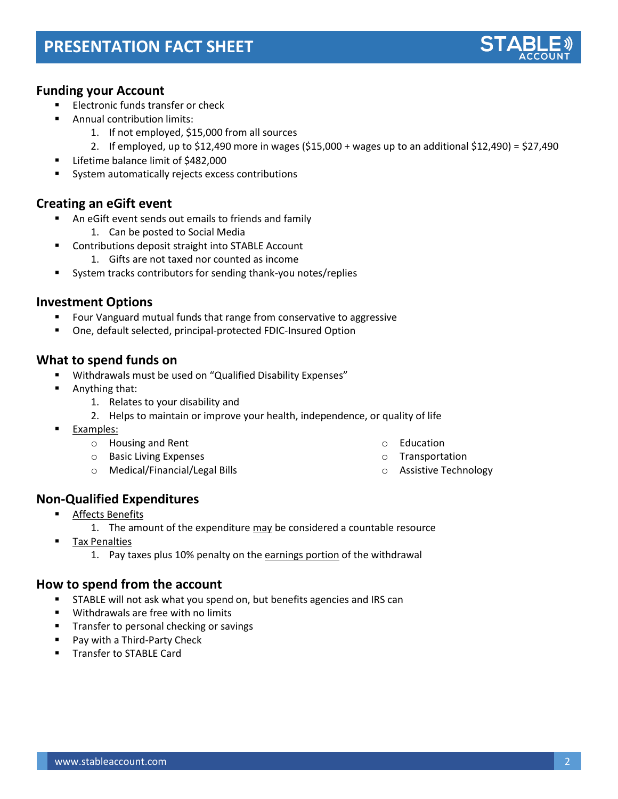

### **Funding your Account**

- Electronic funds transfer or check
- Annual contribution limits:
	- 1. If not employed, \$15,000 from all sources
	- 2. If employed, up to \$12,490 more in wages (\$15,000 + wages up to an additional \$12,490) = \$27,490
- Lifetime balance limit of \$482,000
- System automatically rejects excess contributions

### **Creating an eGift event**

- An eGift event sends out emails to friends and family
	- 1. Can be posted to Social Media
- **EXECONTRIBUTIONS CONSTRIBUTIONS** CONTRIBUTION CONTRIBUTIONS
	- 1. Gifts are not taxed nor counted as income
- System tracks contributors for sending thank-you notes/replies

#### **Investment Options**

- Four Vanguard mutual funds that range from conservative to aggressive
- One, default selected, principal-protected FDIC-Insured Option

### **What to spend funds on**

- Withdrawals must be used on "Qualified Disability Expenses"
- **Anything that:** 
	- 1. Relates to your disability and
	- 2. Helps to maintain or improve your health, independence, or quality of life
- Examples:
	- o Housing and Rent
	- o Basic Living Expenses
	- o Medical/Financial/Legal Bills
- o Education
- o Transportation
- o Assistive Technology

### **Non-Qualified Expenditures**

- Affects Benefits
	- 1. The amount of the expenditure may be considered a countable resource
- Tax Penalties
	- 1. Pay taxes plus 10% penalty on the earnings portion of the withdrawal

### **How to spend from the account**

- **F** STABLE will not ask what you spend on, but benefits agencies and IRS can
- Withdrawals are free with no limits
- **Transfer to personal checking or savings**
- Pay with a Third-Party Check
- **Transfer to STABLE Card**